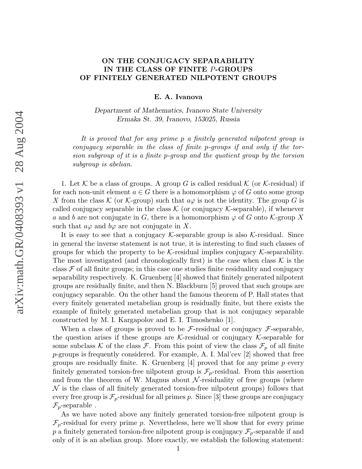## ON THE CONJUGACY SEPARABILITY IN THE CLASS OF FINITE P-GROUPS OF FINITELY GENERATED NILPOTENT GROUPS

E. A. Ivanova

Department of Mathematics, Ivanovo State University Ermaka St. 39, Ivanovo, 153025, Russia

It is proved that for any prime p a finitely generated nilpotent group is conjugacy separable in the class of finite p-groups if and only if the torsion subgroup of it is a finite p-group and the quotient group by the torsion subgroup is abelian.

1. Let K be a class of groups. A group G is called residual  $\mathcal K$  (or K-residual) if for each non-unit element  $a \in G$  there is a homomorphism  $\varphi$  of G onto some group X from the class K (or K-group) such that  $a\varphi$  is not the identity. The group G is called conjugacy separable in the class  $K$  (or conjugacy  $K$ -separable), if whenever a and b are not conjugate in G, there is a homomorphism  $\varphi$  of G onto K-group X such that  $a\varphi$  and  $b\varphi$  are not conjugate in X.

It is easy to see that a conjugacy  $\mathcal K$ -separable group is also  $\mathcal K$ -residual. Since in general the inverse statement is not true, it is interesting to find such classes of groups for which the property to be  $K$ -residual implies conjugacy  $K$ -separability. The most investigated (and chronologically first) is the case when class  $K$  is the class  $\mathcal F$  of all finite groups; in this case one studies finite residuality and conjugacy separability respectively. K. Gruenberg [4] showed that finitely generated nilpotent groups are residually finite, and then N. Blackburn [5] proved that such groups are conjugacy separable. On the other hand the famous theorem of P. Hall states that every finitely generated metabelian group is residually finite, but there exists the example of finitely generated metabelian group that is not conjugacy separable constructed by M. I. Kargapolov and E. I. Timoshenko [1].

When a class of groups is proved to be  $\mathcal F$ -residual or conjugacy  $\mathcal F$ -separable, the question arises if these groups are  $K$ -residual or conjugacy  $K$ -separable for some subclass K of the class F. From this point of view the class  $\mathcal{F}_p$  of all finite p-groups is frequently considered. For example, A. I. Mal'cev [2] showed that free groups are residually finite. K. Gruenberg  $[4]$  proved that for any prime p every finitely generated torsion-free nilpotent group is  $\mathcal{F}_p$ -residual. From this assertion and from the theorem of W. Magnus about  $\mathcal N$ -residuality of free groups (where  $\mathcal N$  is the class of all finitely generated torsion-free nilpotent groups) follows that every free group is  $\mathcal{F}_p$ -residual for all primes p. Since [3] these groups are conjugacy  $\mathcal{F}_p$ -separable.

As we have noted above any finitely generated torsion-free nilpotent group is  $\mathcal{F}_p$ -residual for every prime p. Nevertheless, here we'll show that for every prime p a finitely generated torsion-free nilpotent group is conjugacy  $\mathcal{F}_p$ -separable if and only of it is an abelian group. More exactly, we establish the following statement: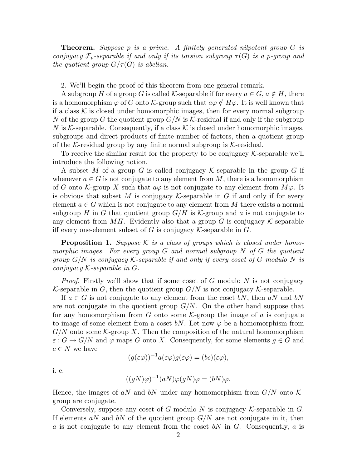Theorem. Suppose p is a prime. A finitely generated nilpotent group G is conjugacy  $\mathcal{F}_p$ -separable if and only if its torsion subgroup  $\tau(G)$  is a p-group and the quotient group  $G/\tau(G)$  is abelian.

2. We'll begin the proof of this theorem from one general remark.

A subgroup H of a group G is called K-separable if for every  $a \in G$ ,  $a \notin H$ , there is a homomorphism  $\varphi$  of G onto K-group such that  $a\varphi \notin H\varphi$ . It is well known that if a class  $K$  is closed under homomorphic images, then for every normal subgroup N of the group G the quotient group  $G/N$  is K-residual if and only if the subgroup N is K-separable. Consequently, if a class  $\mathcal K$  is closed under homomorphic images, subgroups and direct products of finite number of factors, then a quotient group of the K-residual group by any finite normal subgroup is K-residual.

To receive the similar result for the property to be conjugacy  $K$ -separable we'll introduce the following notion.

A subset M of a group G is called conjugacy K-separable in the group G if whenever  $a \in G$  is not conjugate to any element from M, there is a homomorphism of G onto K-group X such that  $a\varphi$  is not conjugate to any element from  $M\varphi$ . It is obvious that subset M is conjugacy K-separable in G if and only if for every element  $a \in G$  which is not conjugate to any element from M there exists a normal subgroup H in G that quotient group  $G/H$  is K-group and a is not conjugate to any element from  $MH$ . Evidently also that a group G is conjugacy  $\mathcal K$ -separable iff every one-element subset of G is conjugacy  $\mathcal K$ -separable in G.

**Proposition 1.** Suppose K is a class of groups which is closed under homomorphic images. For every group G and normal subgroup N of G the quotient group  $G/N$  is conjugacy K-separable if and only if every coset of G modulo N is conjugacy K-separable in G.

*Proof.* Firstly we'll show that if some coset of G modulo N is not conjugacy K-separable in G, then the quotient group  $G/N$  is not conjugacy K-separable.

If  $a \in G$  is not conjugate to any element from the coset bN, then aN and bN are not conjugate in the quotient group  $G/N$ . On the other hand suppose that for any homomorphism from G onto some  $\mathcal{K}$ -group the image of a is conjugate to image of some element from a coset bN. Let now  $\varphi$  be a homomorphism from  $G/N$  onto some K-group X. Then the composition of the natural homomorphism  $\varepsilon$ :  $G \to G/N$  and  $\varphi$  maps G onto X. Consequently, for some elements  $q \in G$  and  $c \in N$  we have

$$
(g(\varepsilon\varphi))^{-1}a(\varepsilon\varphi)g(\varepsilon\varphi)=(bc)(\varepsilon\varphi),
$$

i. e.

$$
((gN)\varphi)^{-1}(aN)\varphi(gN)\varphi = (bN)\varphi.
$$

Hence, the images of aN and bN under any homomorphism from  $G/N$  onto Kgroup are conjugate.

Conversely, suppose any coset of G modulo N is conjugacy  $K$ -separable in G. If elements aN and bN of the quotient group  $G/N$  are not conjugate in it, then a is not conjugate to any element from the coset  $bN$  in G. Consequently, a is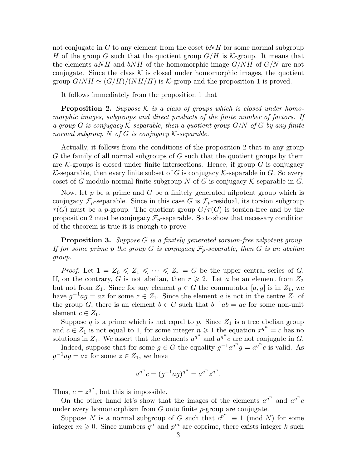not conjugate in  $G$  to any element from the coset  $bNH$  for some normal subgroup H of the group G such that the quotient group  $G/H$  is K-group. It means that the elements  $aNH$  and  $bNH$  of the homomorphic image  $G/NH$  of  $G/N$  are not conjugate. Since the class  $K$  is closed under homomorphic images, the quotient group  $G/NH \simeq (G/H)/(NH/H)$  is K-group and the proposition 1 is proved.

It follows immediately from the proposition 1 that

**Proposition 2.** Suppose K is a class of groups which is closed under homomorphic images, subgroups and direct products of the finite number of factors. If a group G is conjugacy K-separable, then a quotient group  $G/N$  of G by any finite normal subgroup  $N$  of  $G$  is conjugacy  $K$ -separable.

Actually, it follows from the conditions of the proposition 2 that in any group G the family of all normal subgroups of G such that the quotient groups by them are K-groups is closed under finite intersections. Hence, if group  $G$  is conjugacy K-separable, then every finite subset of G is conjugacy K-separable in G. So every coset of G modulo normal finite subgroup N of G is conjugacy  $K$ -separable in G.

Now, let  $p$  be a prime and  $G$  be a finitely generated nilpotent group which is conjugacy  $\mathcal{F}_p$ -separable. Since in this case G is  $\mathcal{F}_p$ -residual, its torsion subgroup  $\tau(G)$  must be a p-group. The quotient group  $G/\tau(G)$  is torsion-free and by the proposition 2 must be conjugacy  $\mathcal{F}_p$ -separable. So to show that necessary condition of the theorem is true it is enough to prove

**Proposition 3.** Suppose G is a finitely generated torsion-free nilpotent group. If for some prime p the group G is conjugacy  $\mathcal{F}_p$ -separable, then G is an abelian group.

*Proof.* Let  $1 = Z_0 \leq Z_1 \leq \cdots \leq Z_r = G$  be the upper central series of G. If, on the contrary, G is not abelian, then  $r \geq 2$ . Let a be an element from  $Z_2$ but not from  $Z_1$ . Since for any element  $g \in G$  the commutator  $[a, g]$  is in  $Z_1$ , we have  $g^{-1}ag = az$  for some  $z \in Z_1$ . Since the element a is not in the centre  $Z_1$  of the group G, there is an element  $b \in G$  such that  $b^{-1}ab = ac$  for some non-unit element  $c \in Z_1$ .

Suppose  $q$  is a prime which is not equal to  $p$ . Since  $Z_1$  is a free abelian group and  $c \in Z_1$  is not equal to 1, for some integer  $n \geq 1$  the equation  $x^{q^n} = c$  has no solutions in  $Z_1$ . We assert that the elements  $a^{q^n}$  and  $a^{q^n}c$  are not conjugate in G.

Indeed, suppose that for some  $g \in G$  the equality  $g^{-1}a^{q^n}g = a^{q^n}c$  is valid. As  $g^{-1}ag = az$  for some  $z \in Z_1$ , we have

$$
a^{q^n}c = (g^{-1}ag)^{q^n} = a^{q^n}z^{q^n}.
$$

Thus,  $c = z^{q^n}$ , but this is impossible.

On the other hand let's show that the images of the elements  $a^{q^n}$  and  $a^{q^n}c$ under every homomorphism from  $G$  onto finite  $p$ -group are conjugate.

Suppose N is a normal subgroup of G such that  $c^{p^m} \equiv 1 \pmod{N}$  for some integer  $m \geq 0$ . Since numbers  $q^n$  and  $p^m$  are coprime, there exists integer k such